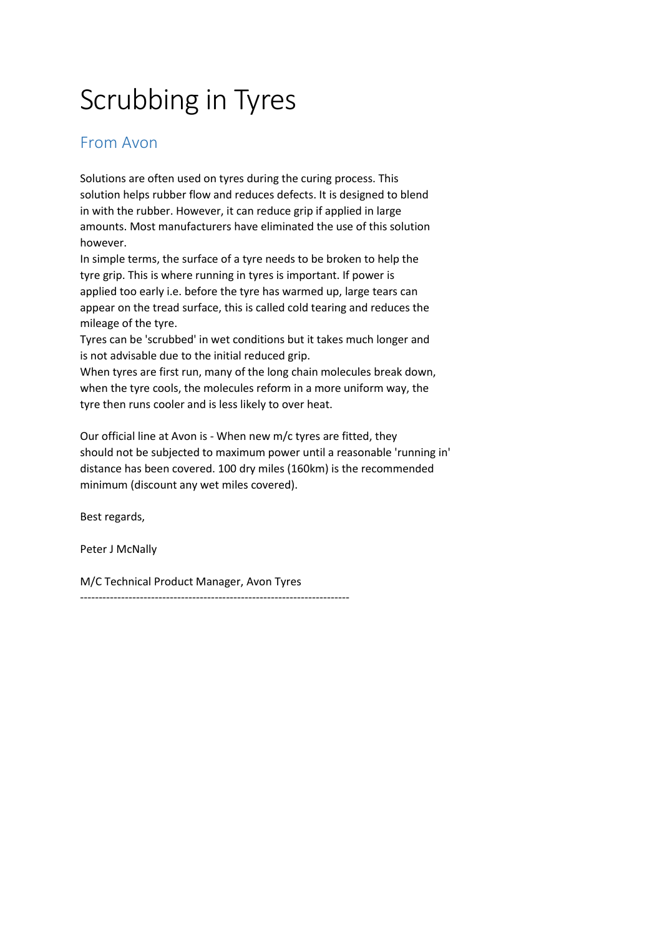# Scrubbing in Tyres

## From Avon

Solutions are often used on tyres during the curing process. This solution helps rubber flow and reduces defects. It is designed to blend in with the rubber. However, it can reduce grip if applied in large amounts. Most manufacturers have eliminated the use of this solution however.

In simple terms, the surface of a tyre needs to be broken to help the tyre grip. This is where running in tyres is important. If power is applied too early i.e. before the tyre has warmed up, large tears can appear on the tread surface, this is called cold tearing and reduces the mileage of the tyre.

Tyres can be 'scrubbed' in wet conditions but it takes much longer and is not advisable due to the initial reduced grip.

When tyres are first run, many of the long chain molecules break down, when the tyre cools, the molecules reform in a more uniform way, the tyre then runs cooler and is less likely to over heat.

Our official line at Avon is - When new m/c tyres are fitted, they should not be subjected to maximum power until a reasonable 'running in' distance has been covered. 100 dry miles (160km) is the recommended minimum (discount any wet miles covered).

Best regards,

Peter J McNally

M/C Technical Product Manager, Avon Tyres

------------------------------------------------------------------------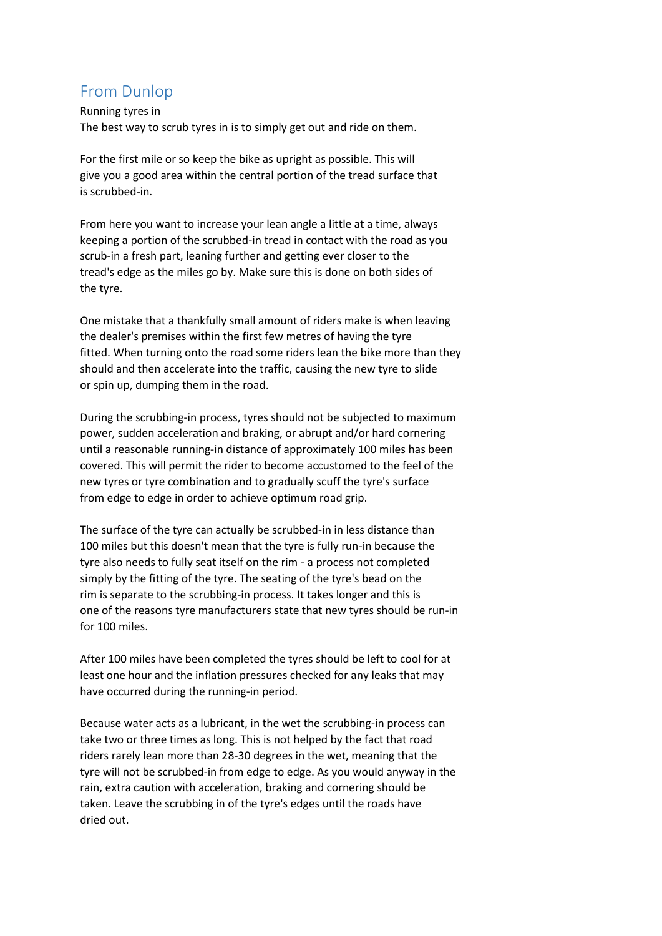## From Dunlop

Running tyres in The best way to scrub tyres in is to simply get out and ride on them.

For the first mile or so keep the bike as upright as possible. This will give you a good area within the central portion of the tread surface that is scrubbed-in.

From here you want to increase your lean angle a little at a time, always keeping a portion of the scrubbed-in tread in contact with the road as you scrub-in a fresh part, leaning further and getting ever closer to the tread's edge as the miles go by. Make sure this is done on both sides of the tyre.

One mistake that a thankfully small amount of riders make is when leaving the dealer's premises within the first few metres of having the tyre fitted. When turning onto the road some riders lean the bike more than they should and then accelerate into the traffic, causing the new tyre to slide or spin up, dumping them in the road.

During the scrubbing-in process, tyres should not be subjected to maximum power, sudden acceleration and braking, or abrupt and/or hard cornering until a reasonable running-in distance of approximately 100 miles has been covered. This will permit the rider to become accustomed to the feel of the new tyres or tyre combination and to gradually scuff the tyre's surface from edge to edge in order to achieve optimum road grip.

The surface of the tyre can actually be scrubbed-in in less distance than 100 miles but this doesn't mean that the tyre is fully run-in because the tyre also needs to fully seat itself on the rim - a process not completed simply by the fitting of the tyre. The seating of the tyre's bead on the rim is separate to the scrubbing-in process. It takes longer and this is one of the reasons tyre manufacturers state that new tyres should be run-in for 100 miles.

After 100 miles have been completed the tyres should be left to cool for at least one hour and the inflation pressures checked for any leaks that may have occurred during the running-in period.

Because water acts as a lubricant, in the wet the scrubbing-in process can take two or three times as long. This is not helped by the fact that road riders rarely lean more than 28-30 degrees in the wet, meaning that the tyre will not be scrubbed-in from edge to edge. As you would anyway in the rain, extra caution with acceleration, braking and cornering should be taken. Leave the scrubbing in of the tyre's edges until the roads have dried out.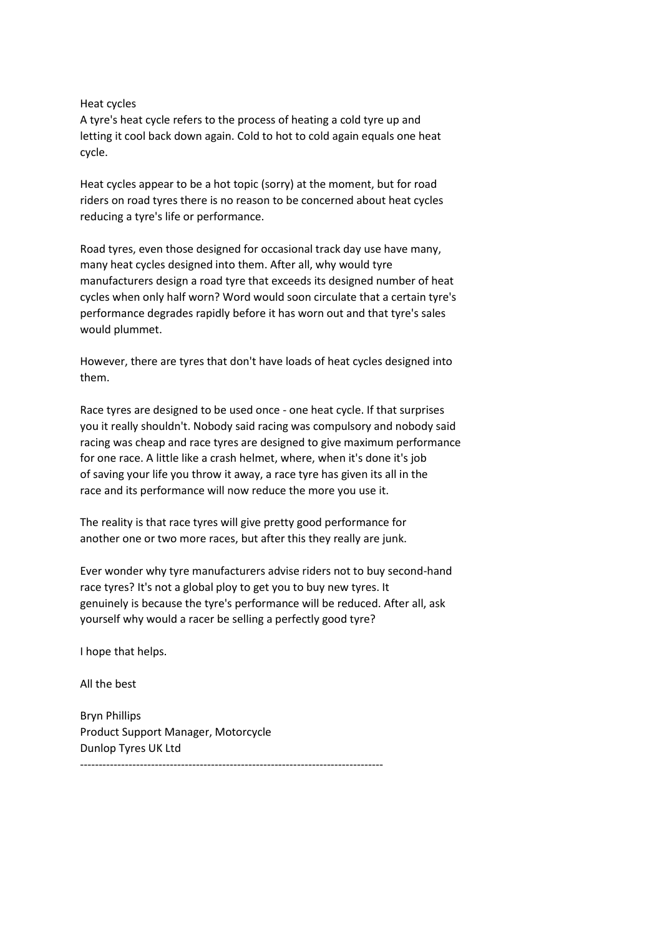#### Heat cycles

A tyre's heat cycle refers to the process of heating a cold tyre up and letting it cool back down again. Cold to hot to cold again equals one heat cycle.

Heat cycles appear to be a hot topic (sorry) at the moment, but for road riders on road tyres there is no reason to be concerned about heat cycles reducing a tyre's life or performance.

Road tyres, even those designed for occasional track day use have many, many heat cycles designed into them. After all, why would tyre manufacturers design a road tyre that exceeds its designed number of heat cycles when only half worn? Word would soon circulate that a certain tyre's performance degrades rapidly before it has worn out and that tyre's sales would plummet.

However, there are tyres that don't have loads of heat cycles designed into them.

Race tyres are designed to be used once - one heat cycle. If that surprises you it really shouldn't. Nobody said racing was compulsory and nobody said racing was cheap and race tyres are designed to give maximum performance for one race. A little like a crash helmet, where, when it's done it's job of saving your life you throw it away, a race tyre has given its all in the race and its performance will now reduce the more you use it.

The reality is that race tyres will give pretty good performance for another one or two more races, but after this they really are junk.

Ever wonder why tyre manufacturers advise riders not to buy second-hand race tyres? It's not a global ploy to get you to buy new tyres. It genuinely is because the tyre's performance will be reduced. After all, ask yourself why would a racer be selling a perfectly good tyre?

I hope that helps.

All the best

Bryn Phillips Product Support Manager, Motorcycle Dunlop Tyres UK Ltd ---------------------------------------------------------------------------------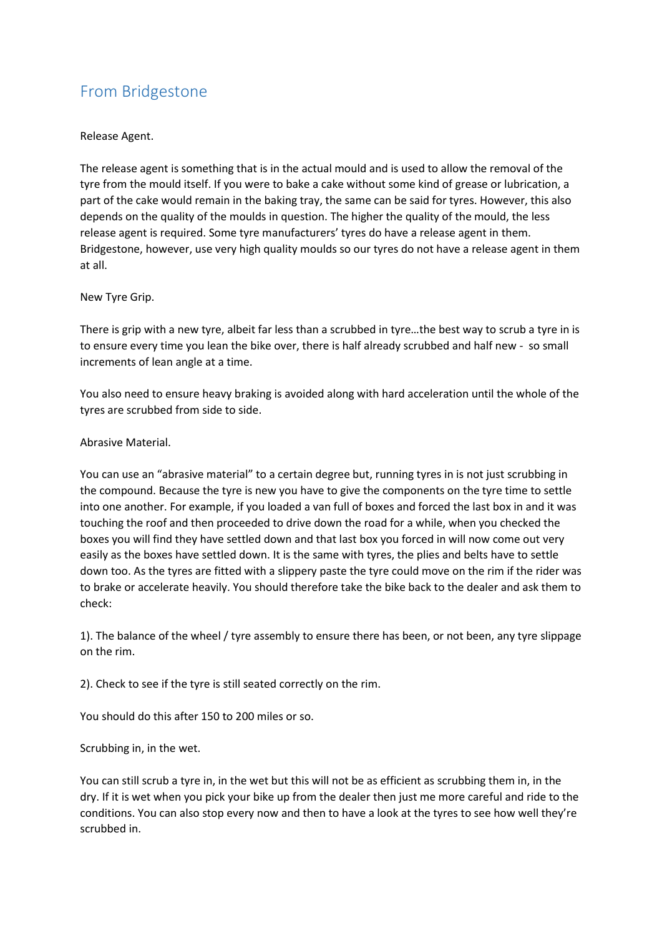## From Bridgestone

### Release Agent.

The release agent is something that is in the actual mould and is used to allow the removal of the tyre from the mould itself. If you were to bake a cake without some kind of grease or lubrication, a part of the cake would remain in the baking tray, the same can be said for tyres. However, this also depends on the quality of the moulds in question. The higher the quality of the mould, the less release agent is required. Some tyre manufacturers' tyres do have a release agent in them. Bridgestone, however, use very high quality moulds so our tyres do not have a release agent in them at all.

### New Tyre Grip.

There is grip with a new tyre, albeit far less than a scrubbed in tyre…the best way to scrub a tyre in is to ensure every time you lean the bike over, there is half already scrubbed and half new - so small increments of lean angle at a time.

You also need to ensure heavy braking is avoided along with hard acceleration until the whole of the tyres are scrubbed from side to side.

### Abrasive Material.

You can use an "abrasive material" to a certain degree but, running tyres in is not just scrubbing in the compound. Because the tyre is new you have to give the components on the tyre time to settle into one another. For example, if you loaded a van full of boxes and forced the last box in and it was touching the roof and then proceeded to drive down the road for a while, when you checked the boxes you will find they have settled down and that last box you forced in will now come out very easily as the boxes have settled down. It is the same with tyres, the plies and belts have to settle down too. As the tyres are fitted with a slippery paste the tyre could move on the rim if the rider was to brake or accelerate heavily. You should therefore take the bike back to the dealer and ask them to check:

1). The balance of the wheel / tyre assembly to ensure there has been, or not been, any tyre slippage on the rim.

2). Check to see if the tyre is still seated correctly on the rim.

You should do this after 150 to 200 miles or so.

## Scrubbing in, in the wet.

You can still scrub a tyre in, in the wet but this will not be as efficient as scrubbing them in, in the dry. If it is wet when you pick your bike up from the dealer then just me more careful and ride to the conditions. You can also stop every now and then to have a look at the tyres to see how well they're scrubbed in.